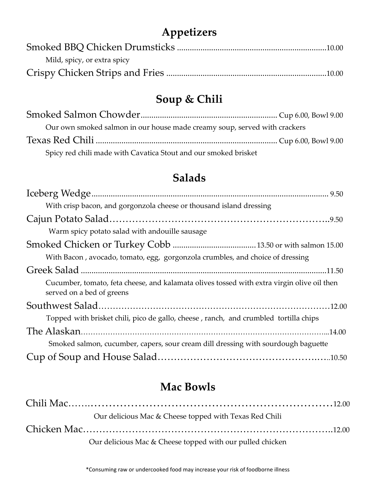## **Appetizers**

| Mild, spicy, or extra spicy |  |
|-----------------------------|--|
|                             |  |

# **Soup & Chili**

| Our own smoked salmon in our house made creamy soup, served with crackers |  |
|---------------------------------------------------------------------------|--|
|                                                                           |  |
| Spicy red chili made with Cavatica Stout and our smoked brisket           |  |

## **Salads**

| With crisp bacon, and gorgonzola cheese or thousand island dressing                                                     |  |
|-------------------------------------------------------------------------------------------------------------------------|--|
|                                                                                                                         |  |
| Warm spicy potato salad with andouille sausage                                                                          |  |
|                                                                                                                         |  |
| With Bacon, avocado, tomato, egg, gorgonzola crumbles, and choice of dressing                                           |  |
|                                                                                                                         |  |
| Cucumber, tomato, feta cheese, and kalamata olives tossed with extra virgin olive oil then<br>served on a bed of greens |  |
|                                                                                                                         |  |
| Topped with brisket chili, pico de gallo, cheese, ranch, and crumbled tortilla chips                                    |  |
|                                                                                                                         |  |
| Smoked salmon, cucumber, capers, sour cream dill dressing with sourdough baguette                                       |  |
|                                                                                                                         |  |

### **Mac Bowls**

| Our delicious Mac & Cheese topped with Texas Red Chili    |  |
|-----------------------------------------------------------|--|
|                                                           |  |
| Our delicious Mac & Cheese topped with our pulled chicken |  |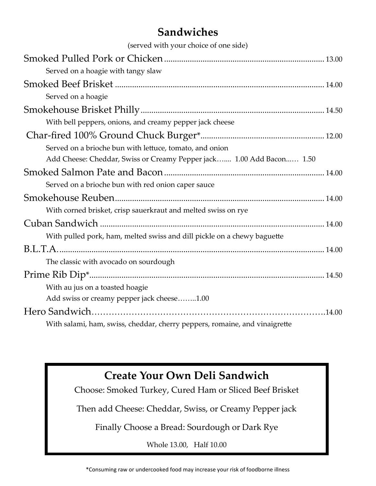### **Sandwiches**

| (served with your choice of one side)                                      |  |
|----------------------------------------------------------------------------|--|
|                                                                            |  |
| Served on a hoagie with tangy slaw                                         |  |
|                                                                            |  |
| Served on a hoagie                                                         |  |
|                                                                            |  |
| With bell peppers, onions, and creamy pepper jack cheese                   |  |
|                                                                            |  |
| Served on a brioche bun with lettuce, tomato, and onion                    |  |
| Add Cheese: Cheddar, Swiss or Creamy Pepper jack 1.00 Add Bacon 1.50       |  |
|                                                                            |  |
| Served on a brioche bun with red onion caper sauce                         |  |
|                                                                            |  |
| With corned brisket, crisp sauerkraut and melted swiss on rye              |  |
|                                                                            |  |
| With pulled pork, ham, melted swiss and dill pickle on a chewy baguette    |  |
|                                                                            |  |
| The classic with avocado on sourdough                                      |  |
|                                                                            |  |
| With au jus on a toasted hoagie                                            |  |
| Add swiss or creamy pepper jack cheese1.00                                 |  |
|                                                                            |  |
| With salami, ham, swiss, cheddar, cherry peppers, romaine, and vinaigrette |  |

#### **Create Your Own Deli Sandwich**

Choose: Smoked Turkey, Cured Ham or Sliced Beef Brisket

Then add Cheese: Cheddar, Swiss, or Creamy Pepper jack

Finally Choose a Bread: Sourdough or Dark Rye

Whole 13.00, Half 10.00